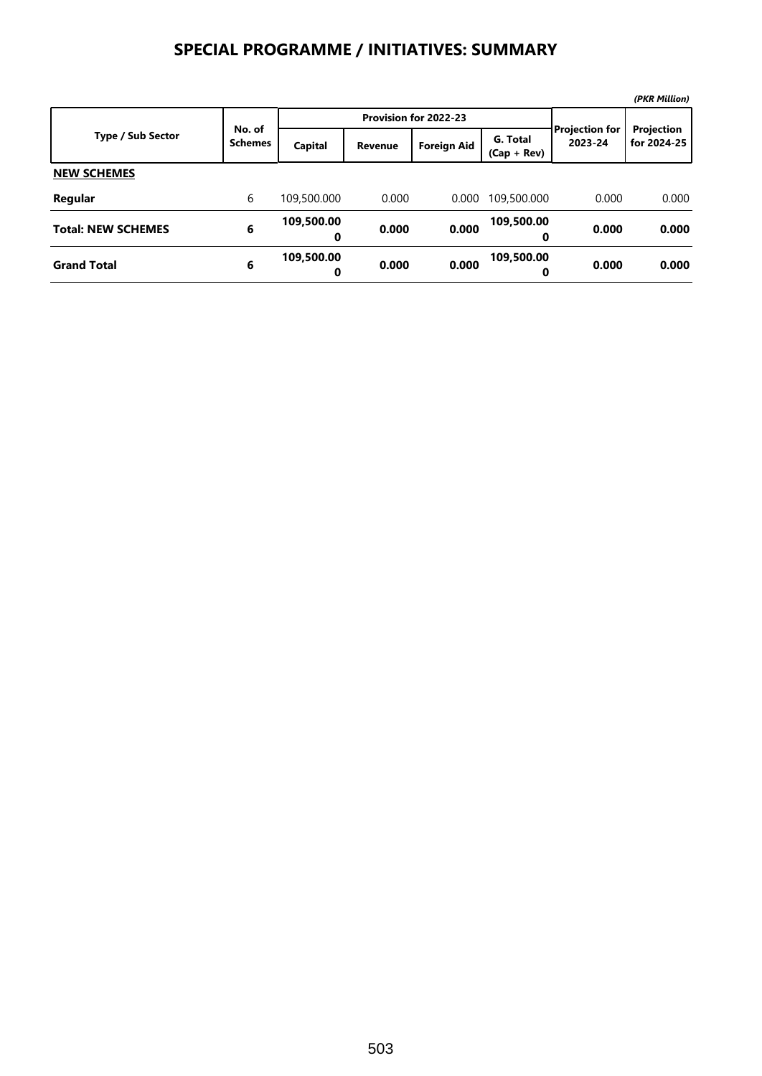## **SPECIAL PROGRAMME / INITIATIVES: SUMMARY**

|                           |                          |                 |                       |                    |                           |                                  | (PKR Million)             |
|---------------------------|--------------------------|-----------------|-----------------------|--------------------|---------------------------|----------------------------------|---------------------------|
|                           |                          |                 | Provision for 2022-23 |                    |                           |                                  |                           |
| <b>Type / Sub Sector</b>  | No. of<br><b>Schemes</b> | Capital         | <b>Revenue</b>        | <b>Foreign Aid</b> | G. Total<br>$(Cap + Rev)$ | <b>Projection for</b><br>2023-24 | Projection<br>for 2024-25 |
| <b>NEW SCHEMES</b>        |                          |                 |                       |                    |                           |                                  |                           |
| Regular                   | 6                        | 109,500.000     | 0.000                 | 0.000              | 109,500.000               | 0.000                            | 0.000                     |
| <b>Total: NEW SCHEMES</b> | 6                        | 109,500.00<br>0 | 0.000                 | 0.000              | 109,500.00<br>0           | 0.000                            | 0.000                     |
| <b>Grand Total</b>        | 6                        | 109,500.00<br>0 | 0.000                 | 0.000              | 109,500.00<br>0           | 0.000                            | 0.000                     |